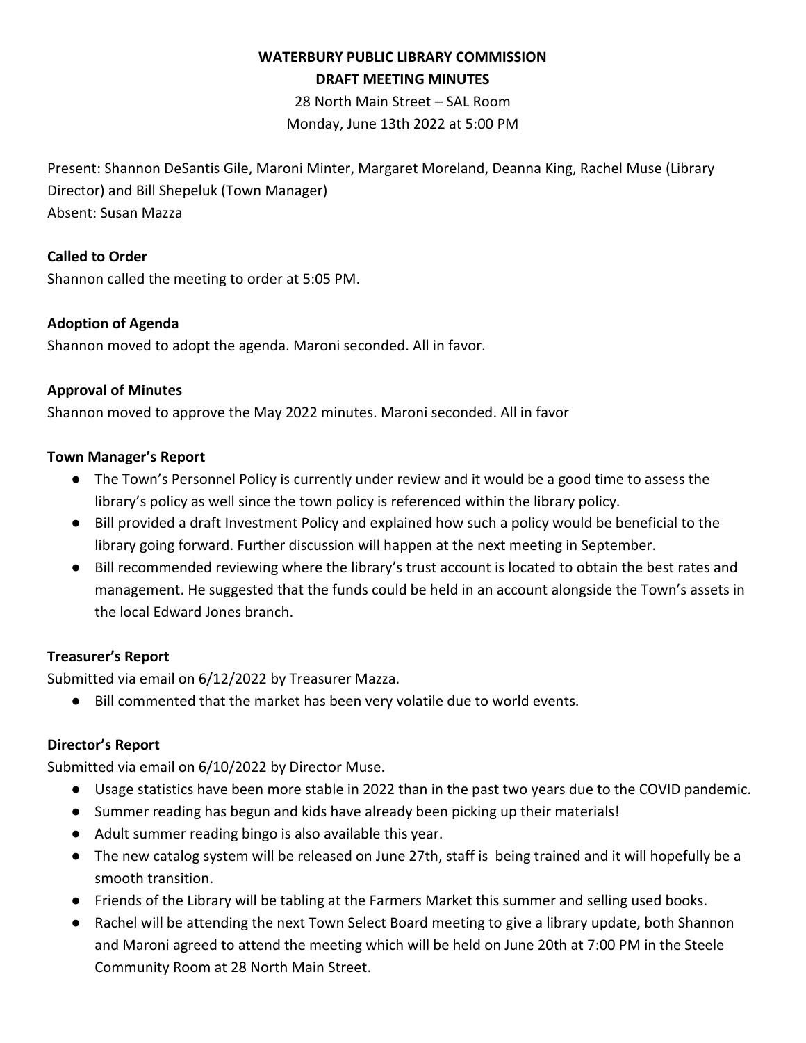# **WATERBURY PUBLIC LIBRARY COMMISSION DRAFT MEETING MINUTES**

28 North Main Street – SAL Room Monday, June 13th 2022 at 5:00 PM

Present: Shannon DeSantis Gile, Maroni Minter, Margaret Moreland, Deanna King, Rachel Muse (Library Director) and Bill Shepeluk (Town Manager) Absent: Susan Mazza

## **Called to Order**

Shannon called the meeting to order at 5:05 PM.

### **Adoption of Agenda**

Shannon moved to adopt the agenda. Maroni seconded. All in favor.

### **Approval of Minutes**

Shannon moved to approve the May 2022 minutes. Maroni seconded. All in favor

### **Town Manager's Report**

- The Town's Personnel Policy is currently under review and it would be a good time to assess the library's policy as well since the town policy is referenced within the library policy.
- Bill provided a draft Investment Policy and explained how such a policy would be beneficial to the library going forward. Further discussion will happen at the next meeting in September.
- Bill recommended reviewing where the library's trust account is located to obtain the best rates and management. He suggested that the funds could be held in an account alongside the Town's assets in the local Edward Jones branch.

### **Treasurer's Report**

Submitted via email on 6/12/2022 by Treasurer Mazza.

● Bill commented that the market has been very volatile due to world events.

### **Director's Report**

Submitted via email on 6/10/2022 by Director Muse.

- Usage statistics have been more stable in 2022 than in the past two years due to the COVID pandemic.
- Summer reading has begun and kids have already been picking up their materials!
- Adult summer reading bingo is also available this year.
- The new catalog system will be released on June 27th, staff is being trained and it will hopefully be a smooth transition.
- Friends of the Library will be tabling at the Farmers Market this summer and selling used books.
- Rachel will be attending the next Town Select Board meeting to give a library update, both Shannon and Maroni agreed to attend the meeting which will be held on June 20th at 7:00 PM in the Steele Community Room at 28 North Main Street.